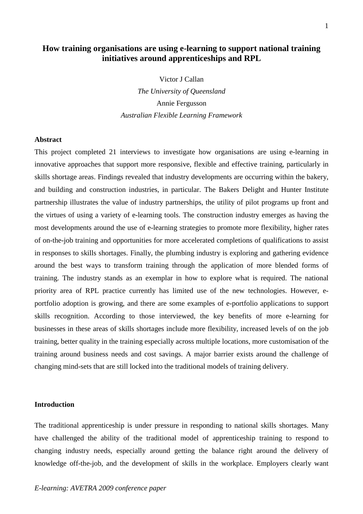# **How training organisations are using e-learning to support national training initiatives around apprenticeships and RPL**

Victor J Callan *The University of Queensland*  Annie Fergusson *Australian Flexible Learning Framework* 

### **Abstract**

This project completed 21 interviews to investigate how organisations are using e-learning in innovative approaches that support more responsive, flexible and effective training, particularly in skills shortage areas. Findings revealed that industry developments are occurring within the bakery, and building and construction industries, in particular. The Bakers Delight and Hunter Institute partnership illustrates the value of industry partnerships, the utility of pilot programs up front and the virtues of using a variety of e-learning tools. The construction industry emerges as having the most developments around the use of e-learning strategies to promote more flexibility, higher rates of on-the-job training and opportunities for more accelerated completions of qualifications to assist in responses to skills shortages. Finally, the plumbing industry is exploring and gathering evidence around the best ways to transform training through the application of more blended forms of training. The industry stands as an exemplar in how to explore what is required. The national priority area of RPL practice currently has limited use of the new technologies. However, eportfolio adoption is growing, and there are some examples of e-portfolio applications to support skills recognition. According to those interviewed, the key benefits of more e-learning for businesses in these areas of skills shortages include more flexibility, increased levels of on the job training, better quality in the training especially across multiple locations, more customisation of the training around business needs and cost savings. A major barrier exists around the challenge of changing mind-sets that are still locked into the traditional models of training delivery.

#### **Introduction**

The traditional apprenticeship is under pressure in responding to national skills shortages. Many have challenged the ability of the traditional model of apprenticeship training to respond to changing industry needs, especially around getting the balance right around the delivery of knowledge off-the-job, and the development of skills in the workplace. Employers clearly want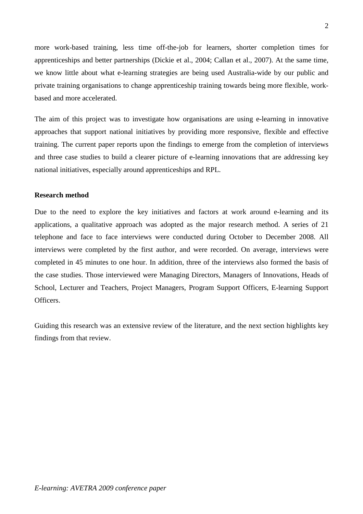more work-based training, less time off-the-job for learners, shorter completion times for apprenticeships and better partnerships (Dickie et al., 2004; Callan et al., 2007). At the same time, we know little about what e-learning strategies are being used Australia-wide by our public and private training organisations to change apprenticeship training towards being more flexible, workbased and more accelerated.

The aim of this project was to investigate how organisations are using e-learning in innovative approaches that support national initiatives by providing more responsive, flexible and effective training. The current paper reports upon the findings to emerge from the completion of interviews and three case studies to build a clearer picture of e-learning innovations that are addressing key national initiatives, especially around apprenticeships and RPL.

# **Research method**

Due to the need to explore the key initiatives and factors at work around e-learning and its applications, a qualitative approach was adopted as the major research method. A series of 21 telephone and face to face interviews were conducted during October to December 2008. All interviews were completed by the first author, and were recorded. On average, interviews were completed in 45 minutes to one hour. In addition, three of the interviews also formed the basis of the case studies. Those interviewed were Managing Directors, Managers of Innovations, Heads of School, Lecturer and Teachers, Project Managers, Program Support Officers, E-learning Support **Officers** 

Guiding this research was an extensive review of the literature, and the next section highlights key findings from that review.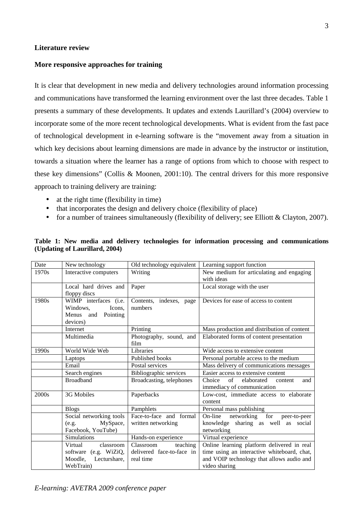### **Literature review**

# **More responsive approaches for training**

It is clear that development in new media and delivery technologies around information processing and communications have transformed the learning environment over the last three decades. Table 1 presents a summary of these developments. It updates and extends Laurillard's (2004) overview to incorporate some of the more recent technological developments. What is evident from the fast pace of technological development in e-learning software is the "movement away from a situation in which key decisions about learning dimensions are made in advance by the instructor or institution, towards a situation where the learner has a range of options from which to choose with respect to these key dimensions" (Collis & Moonen, 2001:10). The central drivers for this more responsive approach to training delivery are training:

- at the right time (flexibility in time)
- that incorporates the design and delivery choice (flexibility of place)
- for a number of trainees simultaneously (flexibility of delivery; see Elliott & Clayton, 2007).

| Date  | New technology                                                                   | Old technology equivalent                                       | Learning support function                                                                                                              |
|-------|----------------------------------------------------------------------------------|-----------------------------------------------------------------|----------------------------------------------------------------------------------------------------------------------------------------|
| 1970s | Interactive computers                                                            | Writing                                                         | New medium for articulating and engaging<br>with ideas                                                                                 |
|       | Local hard drives and<br>floppy discs                                            | Paper                                                           | Local storage with the user                                                                                                            |
| 1980s | WIMP interfaces (i.e.<br>Windows,<br>Icons,<br>Menus and<br>Pointing<br>devices) | Contents, indexes, page<br>numbers                              | Devices for ease of access to content                                                                                                  |
|       | Internet                                                                         | Printing                                                        | Mass production and distribution of content                                                                                            |
|       | Multimedia                                                                       | Photography, sound, and<br>film                                 | Elaborated forms of content presentation                                                                                               |
| 1990s | World Wide Web                                                                   | Libraries                                                       | Wide access to extensive content                                                                                                       |
|       | Laptops                                                                          | Published books                                                 | Personal portable access to the medium                                                                                                 |
|       | Email                                                                            | Postal services                                                 | Mass delivery of communications messages                                                                                               |
|       | Search engines                                                                   | Bibliographic services                                          | Easier access to extensive content                                                                                                     |
|       | <b>Broadband</b>                                                                 | Broadcasting, telephones                                        | Choice<br>$of$ <sup><math>-</math></sup><br>elaborated<br>and<br>content<br>immediacy of communication                                 |
| 2000s | 3G Mobiles                                                                       | Paperbacks                                                      | Low-cost, immediate access to elaborate<br>content                                                                                     |
|       | <b>Blogs</b>                                                                     | Pamphlets                                                       | Personal mass publishing                                                                                                               |
|       | Social networking tools                                                          | Face-to-face and formal                                         | networking for<br>On-line<br>peer-to-peer                                                                                              |
|       | MySpace,<br>(e.g.                                                                | written networking                                              | sharing as well as social<br>knowledge                                                                                                 |
|       | Facebook, YouTube)                                                               |                                                                 | networking                                                                                                                             |
|       | Simulations                                                                      | Hands-on experience                                             | Virtual experience                                                                                                                     |
|       | Virtual<br>classroom<br>software (e.g. WiZiQ,<br>Moodle,<br>Lecturshare,         | Classroom<br>teaching<br>delivered face-to-face in<br>real time | Online learning platform delivered in real<br>time using an interactive whiteboard, chat,<br>and VOIP technology that allows audio and |
|       | WebTrain)                                                                        |                                                                 | video sharing                                                                                                                          |

|  |                                |  |  |  | Table 1: New media and delivery technologies for information processing and communications |
|--|--------------------------------|--|--|--|--------------------------------------------------------------------------------------------|
|  | (Updating of Laurillard, 2004) |  |  |  |                                                                                            |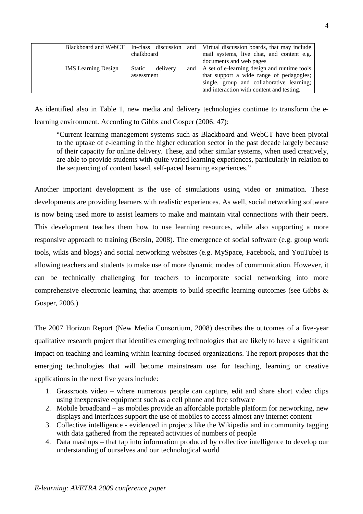| Blackboard and WebCT   In-class discussion |               |          |     | and   Virtual discussion boards, that may include |
|--------------------------------------------|---------------|----------|-----|---------------------------------------------------|
|                                            | chalkboard    |          |     | mail systems, live chat, and content e.g.         |
|                                            |               |          |     | documents and web pages                           |
| <b>IMS</b> Learning Design                 | <b>Static</b> | delivery | and | A set of e-learning design and runtime tools      |
|                                            | assessment    |          |     | that support a wide range of pedagogies;          |
|                                            |               |          |     | single, group and collaborative learning;         |
|                                            |               |          |     | and interaction with content and testing.         |

As identified also in Table 1, new media and delivery technologies continue to transform the elearning environment. According to Gibbs and Gosper (2006: 47):

"Current learning management systems such as Blackboard and WebCT have been pivotal to the uptake of e-learning in the higher education sector in the past decade largely because of their capacity for online delivery. These, and other similar systems, when used creatively, are able to provide students with quite varied learning experiences, particularly in relation to the sequencing of content based, self-paced learning experiences."

Another important development is the use of simulations using video or animation. These developments are providing learners with realistic experiences. As well, social networking software is now being used more to assist learners to make and maintain vital connections with their peers. This development teaches them how to use learning resources, while also supporting a more responsive approach to training (Bersin, 2008). The emergence of social software (e.g. group work tools, wikis and blogs) and social networking websites (e.g. MySpace, Facebook, and YouTube) is allowing teachers and students to make use of more dynamic modes of communication. However, it can be technically challenging for teachers to incorporate social networking into more comprehensive electronic learning that attempts to build specific learning outcomes (see Gibbs & Gosper, 2006.)

The 2007 Horizon Report (New Media Consortium, 2008) describes the outcomes of a five-year qualitative research project that identifies emerging technologies that are likely to have a significant impact on teaching and learning within learning-focused organizations. The report proposes that the emerging technologies that will become mainstream use for teaching, learning or creative applications in the next five years include:

- 1. Grassroots video where numerous people can capture, edit and share short video clips using inexpensive equipment such as a cell phone and free software
- 2. Mobile broadband as mobiles provide an affordable portable platform for networking, new displays and interfaces support the use of mobiles to access almost any internet content
- 3. Collective intelligence evidenced in projects like the Wikipedia and in community tagging with data gathered from the repeated activities of numbers of people
- 4. Data mashups that tap into information produced by collective intelligence to develop our understanding of ourselves and our technological world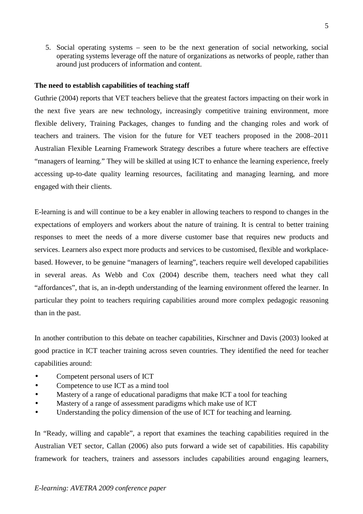5. Social operating systems – seen to be the next generation of social networking, social operating systems leverage off the nature of organizations as networks of people, rather than around just producers of information and content.

## **The need to establish capabilities of teaching staff**

Guthrie (2004) reports that VET teachers believe that the greatest factors impacting on their work in the next five years are new technology, increasingly competitive training environment, more flexible delivery, Training Packages, changes to funding and the changing roles and work of teachers and trainers. The vision for the future for VET teachers proposed in the 2008–2011 Australian Flexible Learning Framework Strategy describes a future where teachers are effective "managers of learning." They will be skilled at using ICT to enhance the learning experience, freely accessing up-to-date quality learning resources, facilitating and managing learning, and more engaged with their clients.

E-learning is and will continue to be a key enabler in allowing teachers to respond to changes in the expectations of employers and workers about the nature of training. It is central to better training responses to meet the needs of a more diverse customer base that requires new products and services. Learners also expect more products and services to be customised, flexible and workplacebased. However, to be genuine "managers of learning", teachers require well developed capabilities in several areas. As Webb and Cox (2004) describe them, teachers need what they call "affordances", that is, an in-depth understanding of the learning environment offered the learner. In particular they point to teachers requiring capabilities around more complex pedagogic reasoning than in the past.

In another contribution to this debate on teacher capabilities, Kirschner and Davis (2003) looked at good practice in ICT teacher training across seven countries. They identified the need for teacher capabilities around:

- Competent personal users of ICT
- Competence to use ICT as a mind tool
- Mastery of a range of educational paradigms that make ICT a tool for teaching
- Mastery of a range of assessment paradigms which make use of ICT
- Understanding the policy dimension of the use of ICT for teaching and learning.

In "Ready, willing and capable", a report that examines the teaching capabilities required in the Australian VET sector, Callan (2006) also puts forward a wide set of capabilities. His capability framework for teachers, trainers and assessors includes capabilities around engaging learners,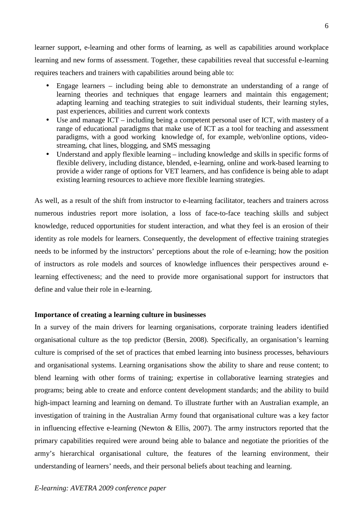learner support, e-learning and other forms of learning, as well as capabilities around workplace learning and new forms of assessment. Together, these capabilities reveal that successful e-learning requires teachers and trainers with capabilities around being able to:

- Engage learners including being able to demonstrate an understanding of a range of learning theories and techniques that engage learners and maintain this engagement; adapting learning and teaching strategies to suit individual students, their learning styles, past experiences, abilities and current work contexts
- Use and manage ICT including being a competent personal user of ICT, with mastery of a range of educational paradigms that make use of ICT as a tool for teaching and assessment paradigms, with a good working knowledge of, for example, web/online options, videostreaming, chat lines, blogging, and SMS messaging
- Understand and apply flexible learning including knowledge and skills in specific forms of flexible delivery, including distance, blended, e-learning, online and work-based learning to provide a wider range of options for VET learners, and has confidence is being able to adapt existing learning resources to achieve more flexible learning strategies.

As well, as a result of the shift from instructor to e-learning facilitator, teachers and trainers across numerous industries report more isolation, a loss of face-to-face teaching skills and subject knowledge, reduced opportunities for student interaction, and what they feel is an erosion of their identity as role models for learners. Consequently, the development of effective training strategies needs to be informed by the instructors' perceptions about the role of e-learning; how the position of instructors as role models and sources of knowledge influences their perspectives around elearning effectiveness; and the need to provide more organisational support for instructors that define and value their role in e-learning.

## **Importance of creating a learning culture in businesses**

In a survey of the main drivers for learning organisations, corporate training leaders identified organisational culture as the top predictor (Bersin, 2008). Specifically, an organisation's learning culture is comprised of the set of practices that embed learning into business processes, behaviours and organisational systems. Learning organisations show the ability to share and reuse content; to blend learning with other forms of training; expertise in collaborative learning strategies and programs; being able to create and enforce content development standards; and the ability to build high-impact learning and learning on demand. To illustrate further with an Australian example, an investigation of training in the Australian Army found that organisational culture was a key factor in influencing effective e-learning (Newton & Ellis, 2007). The army instructors reported that the primary capabilities required were around being able to balance and negotiate the priorities of the army's hierarchical organisational culture, the features of the learning environment, their understanding of learners' needs, and their personal beliefs about teaching and learning.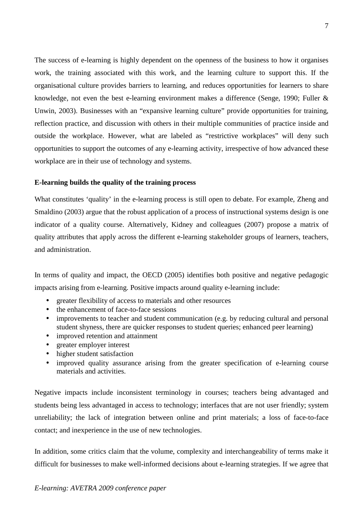The success of e-learning is highly dependent on the openness of the business to how it organises work, the training associated with this work, and the learning culture to support this. If the organisational culture provides barriers to learning, and reduces opportunities for learners to share knowledge, not even the best e-learning environment makes a difference (Senge, 1990; Fuller & Unwin, 2003). Businesses with an "expansive learning culture" provide opportunities for training, reflection practice, and discussion with others in their multiple communities of practice inside and outside the workplace. However, what are labeled as "restrictive workplaces" will deny such opportunities to support the outcomes of any e-learning activity, irrespective of how advanced these workplace are in their use of technology and systems.

# **E-learning builds the quality of the training process**

What constitutes 'quality' in the e-learning process is still open to debate. For example, Zheng and Smaldino (2003) argue that the robust application of a process of instructional systems design is one indicator of a quality course. Alternatively, Kidney and colleagues (2007) propose a matrix of quality attributes that apply across the different e-learning stakeholder groups of learners, teachers, and administration.

In terms of quality and impact, the OECD (2005) identifies both positive and negative pedagogic impacts arising from e-learning. Positive impacts around quality e-learning include:

- greater flexibility of access to materials and other resources
- the enhancement of face-to-face sessions
- improvements to teacher and student communication (e.g. by reducing cultural and personal student shyness, there are quicker responses to student queries; enhanced peer learning)
- improved retention and attainment
- greater employer interest
- higher student satisfaction
- improved quality assurance arising from the greater specification of e-learning course materials and activities.

Negative impacts include inconsistent terminology in courses; teachers being advantaged and students being less advantaged in access to technology; interfaces that are not user friendly; system unreliability; the lack of integration between online and print materials; a loss of face-to-face contact; and inexperience in the use of new technologies.

In addition, some critics claim that the volume, complexity and interchangeability of terms make it difficult for businesses to make well-informed decisions about e-learning strategies. If we agree that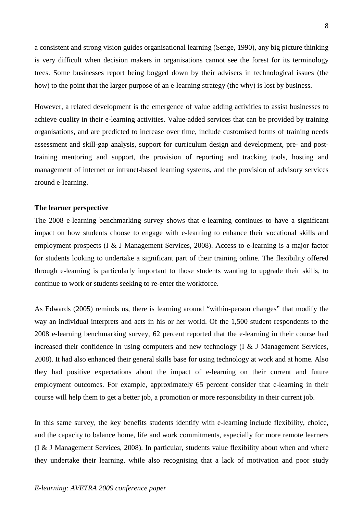a consistent and strong vision guides organisational learning (Senge, 1990), any big picture thinking is very difficult when decision makers in organisations cannot see the forest for its terminology trees. Some businesses report being bogged down by their advisers in technological issues (the how) to the point that the larger purpose of an e-learning strategy (the why) is lost by business.

However, a related development is the emergence of value adding activities to assist businesses to achieve quality in their e-learning activities. Value-added services that can be provided by training organisations, and are predicted to increase over time, include customised forms of training needs assessment and skill-gap analysis, support for curriculum design and development, pre- and posttraining mentoring and support, the provision of reporting and tracking tools, hosting and management of internet or intranet-based learning systems, and the provision of advisory services around e-learning.

#### **The learner perspective**

The 2008 e-learning benchmarking survey shows that e-learning continues to have a significant impact on how students choose to engage with e-learning to enhance their vocational skills and employment prospects (I & J Management Services, 2008). Access to e-learning is a major factor for students looking to undertake a significant part of their training online. The flexibility offered through e-learning is particularly important to those students wanting to upgrade their skills, to continue to work or students seeking to re-enter the workforce.

As Edwards (2005) reminds us, there is learning around "within-person changes" that modify the way an individual interprets and acts in his or her world. Of the 1,500 student respondents to the 2008 e-learning benchmarking survey, 62 percent reported that the e-learning in their course had increased their confidence in using computers and new technology (I & J Management Services, 2008). It had also enhanced their general skills base for using technology at work and at home. Also they had positive expectations about the impact of e-learning on their current and future employment outcomes. For example, approximately 65 percent consider that e-learning in their course will help them to get a better job, a promotion or more responsibility in their current job.

In this same survey, the key benefits students identify with e-learning include flexibility, choice, and the capacity to balance home, life and work commitments, especially for more remote learners (I & J Management Services, 2008). In particular, students value flexibility about when and where they undertake their learning, while also recognising that a lack of motivation and poor study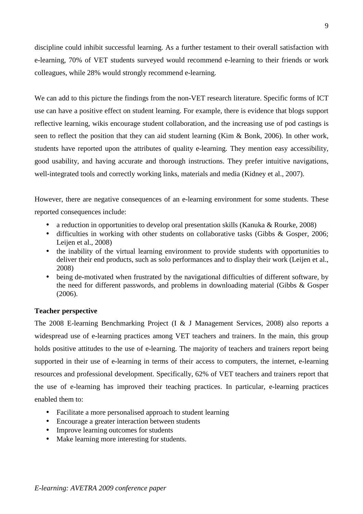discipline could inhibit successful learning. As a further testament to their overall satisfaction with e-learning, 70% of VET students surveyed would recommend e-learning to their friends or work colleagues, while 28% would strongly recommend e-learning.

We can add to this picture the findings from the non-VET research literature. Specific forms of ICT use can have a positive effect on student learning. For example, there is evidence that blogs support reflective learning, wikis encourage student collaboration, and the increasing use of pod castings is seen to reflect the position that they can aid student learning (Kim & Bonk, 2006). In other work, students have reported upon the attributes of quality e-learning. They mention easy accessibility, good usability, and having accurate and thorough instructions. They prefer intuitive navigations, well-integrated tools and correctly working links, materials and media (Kidney et al., 2007).

However, there are negative consequences of an e-learning environment for some students. These reported consequences include:

- a reduction in opportunities to develop oral presentation skills (Kanuka & Rourke, 2008)
- difficulties in working with other students on collaborative tasks (Gibbs & Gosper, 2006; Leijen et al., 2008)
- the inability of the virtual learning environment to provide students with opportunities to deliver their end products, such as solo performances and to display their work (Leijen et al., 2008)
- being de-motivated when frustrated by the navigational difficulties of different software, by the need for different passwords, and problems in downloading material (Gibbs & Gosper (2006).

# **Teacher perspective**

The 2008 E-learning Benchmarking Project (I & J Management Services, 2008) also reports a widespread use of e-learning practices among VET teachers and trainers. In the main, this group holds positive attitudes to the use of e-learning. The majority of teachers and trainers report being supported in their use of e-learning in terms of their access to computers, the internet, e-learning resources and professional development. Specifically, 62% of VET teachers and trainers report that the use of e-learning has improved their teaching practices. In particular, e-learning practices enabled them to:

- Facilitate a more personalised approach to student learning
- Encourage a greater interaction between students
- Improve learning outcomes for students
- Make learning more interesting for students.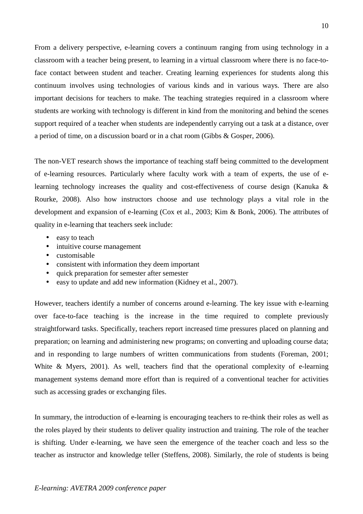From a delivery perspective, e-learning covers a continuum ranging from using technology in a classroom with a teacher being present, to learning in a virtual classroom where there is no face-toface contact between student and teacher. Creating learning experiences for students along this continuum involves using technologies of various kinds and in various ways. There are also important decisions for teachers to make. The teaching strategies required in a classroom where students are working with technology is different in kind from the monitoring and behind the scenes support required of a teacher when students are independently carrying out a task at a distance, over a period of time, on a discussion board or in a chat room (Gibbs & Gosper, 2006).

The non-VET research shows the importance of teaching staff being committed to the development of e-learning resources. Particularly where faculty work with a team of experts, the use of elearning technology increases the quality and cost-effectiveness of course design (Kanuka & Rourke, 2008). Also how instructors choose and use technology plays a vital role in the development and expansion of e-learning (Cox et al., 2003; Kim & Bonk, 2006). The attributes of quality in e-learning that teachers seek include:

- easy to teach
- intuitive course management
- customisable
- consistent with information they deem important
- quick preparation for semester after semester
- easy to update and add new information (Kidney et al., 2007).

However, teachers identify a number of concerns around e-learning. The key issue with e-learning over face-to-face teaching is the increase in the time required to complete previously straightforward tasks. Specifically, teachers report increased time pressures placed on planning and preparation; on learning and administering new programs; on converting and uploading course data; and in responding to large numbers of written communications from students (Foreman, 2001; White & Myers, 2001). As well, teachers find that the operational complexity of e-learning management systems demand more effort than is required of a conventional teacher for activities such as accessing grades or exchanging files.

In summary, the introduction of e-learning is encouraging teachers to re-think their roles as well as the roles played by their students to deliver quality instruction and training. The role of the teacher is shifting. Under e-learning, we have seen the emergence of the teacher coach and less so the teacher as instructor and knowledge teller (Steffens, 2008). Similarly, the role of students is being

# *E-learning: AVETRA 2009 conference paper*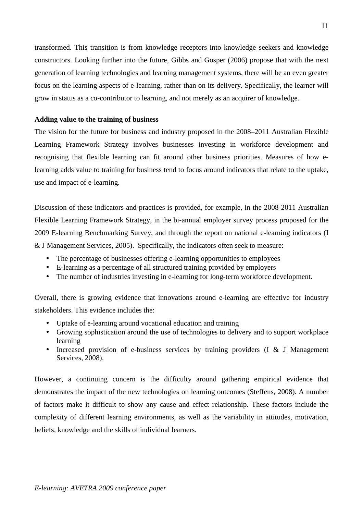transformed. This transition is from knowledge receptors into knowledge seekers and knowledge constructors. Looking further into the future, Gibbs and Gosper (2006) propose that with the next generation of learning technologies and learning management systems, there will be an even greater focus on the learning aspects of e-learning, rather than on its delivery. Specifically, the learner will grow in status as a co-contributor to learning, and not merely as an acquirer of knowledge.

# **Adding value to the training of business**

The vision for the future for business and industry proposed in the 2008–2011 Australian Flexible Learning Framework Strategy involves businesses investing in workforce development and recognising that flexible learning can fit around other business priorities. Measures of how elearning adds value to training for business tend to focus around indicators that relate to the uptake, use and impact of e-learning.

Discussion of these indicators and practices is provided, for example, in the 2008-2011 Australian Flexible Learning Framework Strategy, in the bi-annual employer survey process proposed for the 2009 E-learning Benchmarking Survey, and through the report on national e-learning indicators (I & J Management Services, 2005).Specifically, the indicators often seek to measure:

- The percentage of businesses offering e-learning opportunities to employees
- E-learning as a percentage of all structured training provided by employers
- The number of industries investing in e-learning for long-term workforce development.

Overall, there is growing evidence that innovations around e-learning are effective for industry stakeholders. This evidence includes the:

- Uptake of e-learning around vocational education and training
- Growing sophistication around the use of technologies to delivery and to support workplace learning
- Increased provision of e-business services by training providers (I & J Management Services, 2008).

However, a continuing concern is the difficulty around gathering empirical evidence that demonstrates the impact of the new technologies on learning outcomes (Steffens, 2008). A number of factors make it difficult to show any cause and effect relationship. These factors include the complexity of different learning environments, as well as the variability in attitudes, motivation, beliefs, knowledge and the skills of individual learners.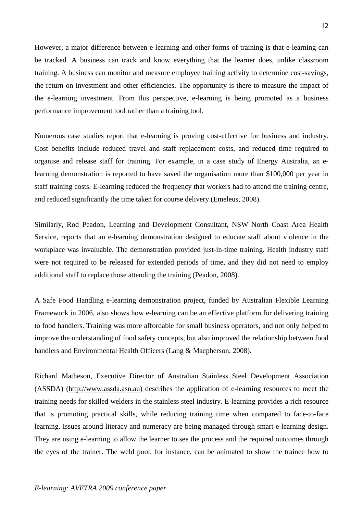However, a major difference between e-learning and other forms of training is that e-learning can be tracked. A business can track and know everything that the learner does, unlike classroom training. A business can monitor and measure employee training activity to determine cost-savings, the return on investment and other efficiencies. The opportunity is there to measure the impact of the e-learning investment. From this perspective, e-learning is being promoted as a business performance improvement tool rather than a training tool.

Numerous case studies report that e-learning is proving cost-effective for business and industry. Cost benefits include reduced travel and staff replacement costs, and reduced time required to organise and release staff for training. For example, in a case study of Energy Australia, an elearning demonstration is reported to have saved the organisation more than \$100,000 per year in staff training costs. E-learning reduced the frequency that workers had to attend the training centre, and reduced significantly the time taken for course delivery (Emeleus, 2008).

Similarly, Rod Peadon, Learning and Development Consultant, NSW North Coast Area Health Service, reports that an e-learning demonstration designed to educate staff about violence in the workplace was invaluable. The demonstration provided just-in-time training. Health industry staff were not required to be released for extended periods of time, and they did not need to employ additional staff to replace those attending the training (Peadon, 2008).

A Safe Food Handling e-learning demonstration project, funded by Australian Flexible Learning Framework in 2006, also shows how e-learning can be an effective platform for delivering training to food handlers. Training was more affordable for small business operators, and not only helped to improve the understanding of food safety concepts, but also improved the relationship between food handlers and Environmental Health Officers (Lang & Macpherson, 2008).

Richard Matheson, Executive Director of Australian Stainless Steel Development Association (ASSDA) (http://www.assda.asn.au) describes the application of e-learning resources to meet the training needs for skilled welders in the stainless steel industry. E-learning provides a rich resource that is promoting practical skills, while reducing training time when compared to face-to-face learning. Issues around literacy and numeracy are being managed through smart e-learning design. They are using e-learning to allow the learner to see the process and the required outcomes through the eyes of the trainer. The weld pool, for instance, can be animated to show the trainee how to

#### *E-learning: AVETRA 2009 conference paper*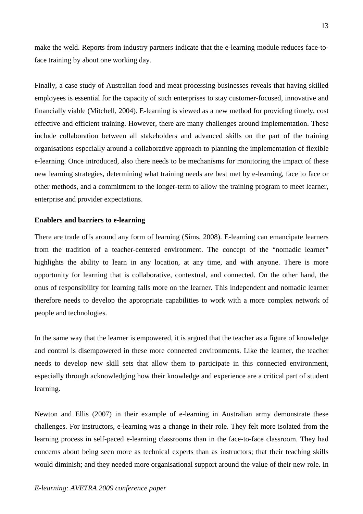make the weld. Reports from industry partners indicate that the e-learning module reduces face-toface training by about one working day.

Finally, a case study of Australian food and meat processing businesses reveals that having skilled employees is essential for the capacity of such enterprises to stay customer-focused, innovative and financially viable (Mitchell, 2004). E-learning is viewed as a new method for providing timely, cost effective and efficient training. However, there are many challenges around implementation. These include collaboration between all stakeholders and advanced skills on the part of the training organisations especially around a collaborative approach to planning the implementation of flexible e-learning. Once introduced, also there needs to be mechanisms for monitoring the impact of these new learning strategies, determining what training needs are best met by e-learning, face to face or other methods, and a commitment to the longer-term to allow the training program to meet learner, enterprise and provider expectations.

#### **Enablers and barriers to e-learning**

There are trade offs around any form of learning (Sims, 2008). E-learning can emancipate learners from the tradition of a teacher-centered environment. The concept of the "nomadic learner" highlights the ability to learn in any location, at any time, and with anyone. There is more opportunity for learning that is collaborative, contextual, and connected. On the other hand, the onus of responsibility for learning falls more on the learner. This independent and nomadic learner therefore needs to develop the appropriate capabilities to work with a more complex network of people and technologies.

In the same way that the learner is empowered, it is argued that the teacher as a figure of knowledge and control is disempowered in these more connected environments. Like the learner, the teacher needs to develop new skill sets that allow them to participate in this connected environment, especially through acknowledging how their knowledge and experience are a critical part of student learning.

Newton and Ellis (2007) in their example of e-learning in Australian army demonstrate these challenges. For instructors, e-learning was a change in their role. They felt more isolated from the learning process in self-paced e-learning classrooms than in the face-to-face classroom. They had concerns about being seen more as technical experts than as instructors; that their teaching skills would diminish; and they needed more organisational support around the value of their new role. In

## *E-learning: AVETRA 2009 conference paper*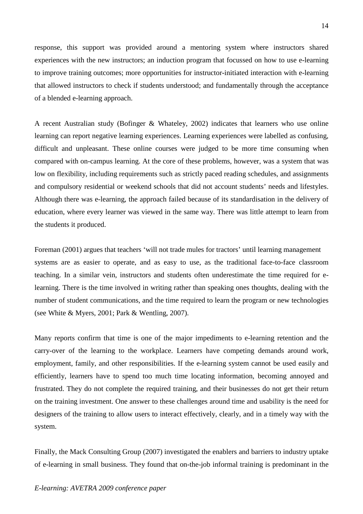response, this support was provided around a mentoring system where instructors shared experiences with the new instructors; an induction program that focussed on how to use e-learning to improve training outcomes; more opportunities for instructor-initiated interaction with e-learning that allowed instructors to check if students understood; and fundamentally through the acceptance of a blended e-learning approach.

A recent Australian study (Bofinger & Whateley, 2002) indicates that learners who use online learning can report negative learning experiences. Learning experiences were labelled as confusing, difficult and unpleasant. These online courses were judged to be more time consuming when compared with on-campus learning. At the core of these problems, however, was a system that was low on flexibility, including requirements such as strictly paced reading schedules, and assignments and compulsory residential or weekend schools that did not account students' needs and lifestyles. Although there was e-learning, the approach failed because of its standardisation in the delivery of education, where every learner was viewed in the same way. There was little attempt to learn from the students it produced.

Foreman (2001) argues that teachers 'will not trade mules for tractors' until learning management systems are as easier to operate, and as easy to use, as the traditional face-to-face classroom teaching. In a similar vein, instructors and students often underestimate the time required for elearning. There is the time involved in writing rather than speaking ones thoughts, dealing with the number of student communications, and the time required to learn the program or new technologies (see White & Myers, 2001; Park & Wentling, 2007).

Many reports confirm that time is one of the major impediments to e-learning retention and the carry-over of the learning to the workplace. Learners have competing demands around work, employment, family, and other responsibilities. If the e-learning system cannot be used easily and efficiently, learners have to spend too much time locating information, becoming annoyed and frustrated. They do not complete the required training, and their businesses do not get their return on the training investment. One answer to these challenges around time and usability is the need for designers of the training to allow users to interact effectively, clearly, and in a timely way with the system.

Finally, the Mack Consulting Group (2007) investigated the enablers and barriers to industry uptake of e-learning in small business. They found that on-the-job informal training is predominant in the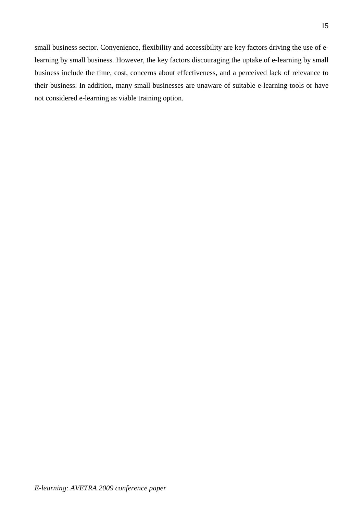small business sector. Convenience, flexibility and accessibility are key factors driving the use of elearning by small business. However, the key factors discouraging the uptake of e-learning by small business include the time, cost, concerns about effectiveness, and a perceived lack of relevance to their business. In addition, many small businesses are unaware of suitable e-learning tools or have not considered e-learning as viable training option.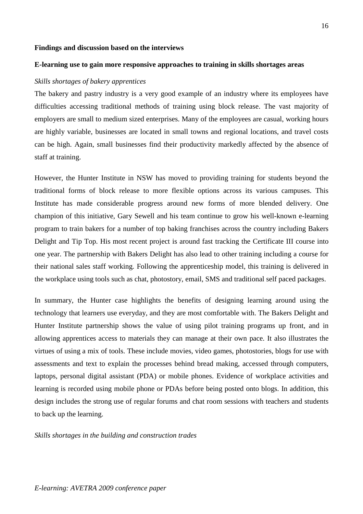#### **Findings and discussion based on the interviews**

# **E-learning use to gain more responsive approaches to training in skills shortages areas**

#### *Skills shortages of bakery apprentices*

The bakery and pastry industry is a very good example of an industry where its employees have difficulties accessing traditional methods of training using block release. The vast majority of employers are small to medium sized enterprises. Many of the employees are casual, working hours are highly variable, businesses are located in small towns and regional locations, and travel costs can be high. Again, small businesses find their productivity markedly affected by the absence of staff at training.

However, the Hunter Institute in NSW has moved to providing training for students beyond the traditional forms of block release to more flexible options across its various campuses. This Institute has made considerable progress around new forms of more blended delivery. One champion of this initiative, Gary Sewell and his team continue to grow his well-known e-learning program to train bakers for a number of top baking franchises across the country including Bakers Delight and Tip Top. His most recent project is around fast tracking the Certificate III course into one year. The partnership with Bakers Delight has also lead to other training including a course for their national sales staff working. Following the apprenticeship model, this training is delivered in the workplace using tools such as chat, photostory, email, SMS and traditional self paced packages.

In summary, the Hunter case highlights the benefits of designing learning around using the technology that learners use everyday, and they are most comfortable with. The Bakers Delight and Hunter Institute partnership shows the value of using pilot training programs up front, and in allowing apprentices access to materials they can manage at their own pace. It also illustrates the virtues of using a mix of tools. These include movies, video games, photostories, blogs for use with assessments and text to explain the processes behind bread making, accessed through computers, laptops, personal digital assistant (PDA) or mobile phones. Evidence of workplace activities and learning is recorded using mobile phone or PDAs before being posted onto blogs. In addition, this design includes the strong use of regular forums and chat room sessions with teachers and students to back up the learning.

*Skills shortages in the building and construction trades*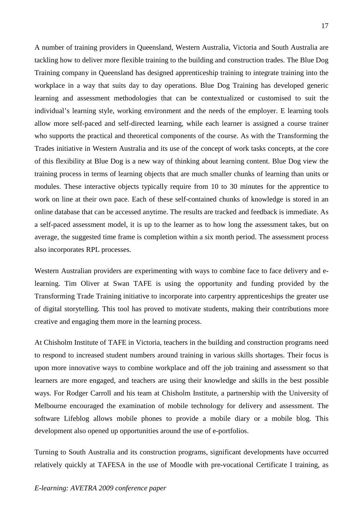A number of training providers in Queensland, Western Australia, Victoria and South Australia are tackling how to deliver more flexible training to the building and construction trades. The Blue Dog Training company in Queensland has designed apprenticeship training to integrate training into the workplace in a way that suits day to day operations. Blue Dog Training has developed generic learning and assessment methodologies that can be contextualized or customised to suit the individual's learning style, working environment and the needs of the employer. E learning tools allow more self-paced and self-directed learning, while each learner is assigned a course trainer who supports the practical and theoretical components of the course. As with the Transforming the Trades initiative in Western Australia and its use of the concept of work tasks concepts, at the core of this flexibility at Blue Dog is a new way of thinking about learning content. Blue Dog view the training process in terms of learning objects that are much smaller chunks of learning than units or modules. These interactive objects typically require from 10 to 30 minutes for the apprentice to work on line at their own pace. Each of these self-contained chunks of knowledge is stored in an online database that can be accessed anytime. The results are tracked and feedback is immediate. As a self-paced assessment model, it is up to the learner as to how long the assessment takes, but on average, the suggested time frame is completion within a six month period. The assessment process also incorporates RPL processes.

Western Australian providers are experimenting with ways to combine face to face delivery and elearning. Tim Oliver at Swan TAFE is using the opportunity and funding provided by the Transforming Trade Training initiative to incorporate into carpentry apprenticeships the greater use of digital storytelling. This tool has proved to motivate students, making their contributions more creative and engaging them more in the learning process.

At Chisholm Institute of TAFE in Victoria, teachers in the building and construction programs need to respond to increased student numbers around training in various skills shortages. Their focus is upon more innovative ways to combine workplace and off the job training and assessment so that learners are more engaged, and teachers are using their knowledge and skills in the best possible ways. For Rodger Carroll and his team at Chisholm Institute, a partnership with the University of Melbourne encouraged the examination of mobile technology for delivery and assessment. The software Lifeblog allows mobile phones to provide a mobile diary or a mobile blog. This development also opened up opportunities around the use of e-portfolios.

Turning to South Australia and its construction programs, significant developments have occurred relatively quickly at TAFESA in the use of Moodle with pre-vocational Certificate I training, as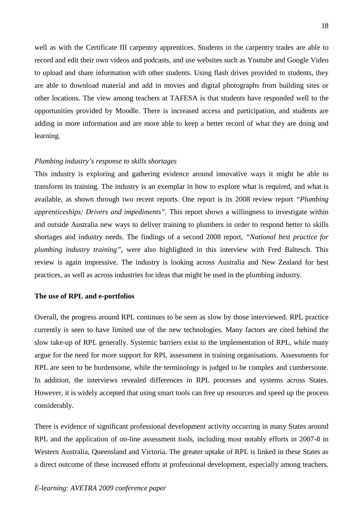well as with the Certificate III carpentry apprentices. Students in the carpentry trades are able to record and edit their own videos and podcasts, and use websites such as Youtube and Google Video to upload and share information with other students. Using flash drives provided to students, they are able to download material and add in movies and digital photographs from building sites or other locations. The view among teachers at TAFESA is that students have responded well to the opportunities provided by Moodle. There is increased access and participation, and students are adding in more information and are more able to keep a better record of what they are doing and learning.

### *Plumbing industry's response to skills shortages*

This industry is exploring and gathering evidence around innovative ways it might be able to transform its training. The industry is an exemplar in how to explore what is required, and what is available, as shown through two recent reports. One report is its 2008 review report *"Plumbing apprenticeships: Drivers and impediments".* This report shows a willingness to investigate within and outside Australia new ways to deliver training to plumbers in order to respond better to skills shortages and industry needs. The findings of a second 2008 report, *"National best practice for plumbing industry training"*, were also highlighted in this interview with Fred Baltesch. This review is again impressive. The industry is looking across Australia and New Zealand for best practices, as well as across industries for ideas that might be used in the plumbing industry.

#### **The use of RPL and e-portfolios**

Overall, the progress around RPL continues to be seen as slow by those interviewed. RPL practice currently is seen to have limited use of the new technologies. Many factors are cited behind the slow take-up of RPL generally. Systemic barriers exist to the implementation of RPL, while many argue for the need for more support for RPL assessment in training organisations. Assessments for RPL are seen to be burdensome, while the terminology is judged to be complex and cumbersome. In addition, the interviews revealed differences in RPL processes and systems across States. However, it is widely accepted that using smart tools can free up resources and speed up the process considerably.

There is evidence of significant professional development activity occurring in many States around RPL and the application of on-line assessment tools, including most notably efforts in 2007-8 in Western Australia, Queensland and Victoria. The greater uptake of RPL is linked in these States as a direct outcome of these increased efforts at professional development, especially among teachers.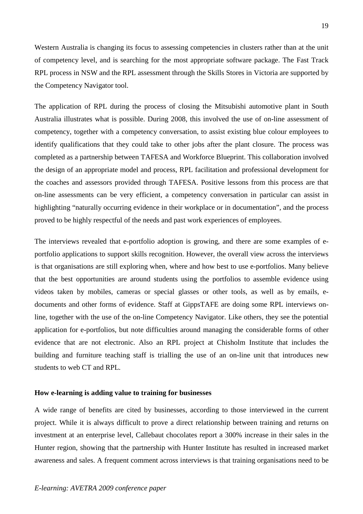Western Australia is changing its focus to assessing competencies in clusters rather than at the unit of competency level, and is searching for the most appropriate software package. The Fast Track RPL process in NSW and the RPL assessment through the Skills Stores in Victoria are supported by the Competency Navigator tool.

The application of RPL during the process of closing the Mitsubishi automotive plant in South Australia illustrates what is possible. During 2008, this involved the use of on-line assessment of competency, together with a competency conversation, to assist existing blue colour employees to identify qualifications that they could take to other jobs after the plant closure. The process was completed as a partnership between TAFESA and Workforce Blueprint. This collaboration involved the design of an appropriate model and process, RPL facilitation and professional development for the coaches and assessors provided through TAFESA. Positive lessons from this process are that on-line assessments can be very efficient, a competency conversation in particular can assist in highlighting "naturally occurring evidence in their workplace or in documentation", and the process proved to be highly respectful of the needs and past work experiences of employees.

The interviews revealed that e-portfolio adoption is growing, and there are some examples of eportfolio applications to support skills recognition. However, the overall view across the interviews is that organisations are still exploring when, where and how best to use e-portfolios. Many believe that the best opportunities are around students using the portfolios to assemble evidence using videos taken by mobiles, cameras or special glasses or other tools, as well as by emails, edocuments and other forms of evidence. Staff at GippsTAFE are doing some RPL interviews online, together with the use of the on-line Competency Navigator. Like others, they see the potential application for e-portfolios, but note difficulties around managing the considerable forms of other evidence that are not electronic. Also an RPL project at Chisholm Institute that includes the building and furniture teaching staff is trialling the use of an on-line unit that introduces new students to web CT and RPL.

## **How e-learning is adding value to training for businesses**

A wide range of benefits are cited by businesses, according to those interviewed in the current project. While it is always difficult to prove a direct relationship between training and returns on investment at an enterprise level, Callebaut chocolates report a 300% increase in their sales in the Hunter region, showing that the partnership with Hunter Institute has resulted in increased market awareness and sales. A frequent comment across interviews is that training organisations need to be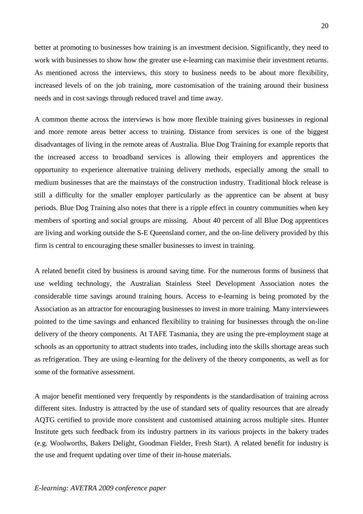better at promoting to businesses how training is an investment decision. Significantly, they need to work with businesses to show how the greater use e-learning can maximise their investment returns. As mentioned across the interviews, this story to business needs to be about more flexibility, increased levels of on the job training, more customisation of the training around their business needs and in cost savings through reduced travel and time away.

A common theme across the interviews is how more flexible training gives businesses in regional and more remote areas better access to training. Distance from services is one of the biggest disadvantages of living in the remote areas of Australia. Blue Dog Training for example reports that the increased access to broadband services is allowing their employers and apprentices the opportunity to experience alternative training delivery methods, especially among the small to medium businesses that are the mainstays of the construction industry. Traditional block release is still a difficulty for the smaller employer particularly as the apprentice can be absent at busy periods. Blue Dog Training also notes that there is a ripple effect in country communities when key members of sporting and social groups are missing. About 40 percent of all Blue Dog apprentices are living and working outside the S-E Queensland corner, and the on-line delivery provided by this firm is central to encouraging these smaller businesses to invest in training.

A related benefit cited by business is around saving time. For the numerous forms of business that use welding technology, the Australian Stainless Steel Development Association notes the considerable time savings around training hours. Access to e-learning is being promoted by the Association as an attractor for encouraging businesses to invest in more training. Many interviewees pointed to the time savings and enhanced flexibility to training for businesses through the on-line delivery of the theory components. At TAFE Tasmania, they are using the pre-employment stage at schools as an opportunity to attract students into trades, including into the skills shortage areas such as refrigeration. They are using e-learning for the delivery of the theory components, as well as for some of the formative assessment.

A major benefit mentioned very frequently by respondents is the standardisation of training across different sites. Industry is attracted by the use of standard sets of quality resources that are already AQTG certified to provide more consistent and customised attaining across multiple sites. Hunter Institute gets such feedback from its industry partners in its various projects in the bakery trades (e.g. Woolworths, Bakers Delight, Goodman Fielder, Fresh Start). A related benefit for industry is the use and frequent updating over time of their in-house materials.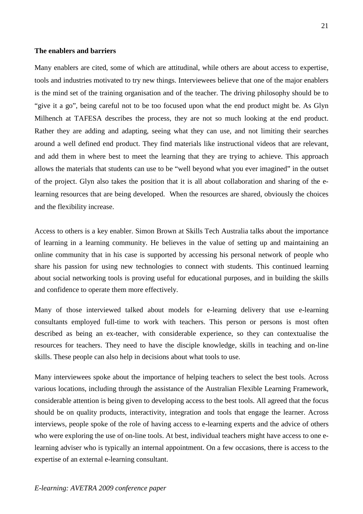#### **The enablers and barriers**

Many enablers are cited, some of which are attitudinal, while others are about access to expertise, tools and industries motivated to try new things. Interviewees believe that one of the major enablers is the mind set of the training organisation and of the teacher. The driving philosophy should be to "give it a go", being careful not to be too focused upon what the end product might be. As Glyn Milhench at TAFESA describes the process, they are not so much looking at the end product. Rather they are adding and adapting, seeing what they can use, and not limiting their searches around a well defined end product. They find materials like instructional videos that are relevant, and add them in where best to meet the learning that they are trying to achieve. This approach allows the materials that students can use to be "well beyond what you ever imagined" in the outset of the project. Glyn also takes the position that it is all about collaboration and sharing of the elearning resources that are being developed. When the resources are shared, obviously the choices and the flexibility increase.

Access to others is a key enabler. Simon Brown at Skills Tech Australia talks about the importance of learning in a learning community. He believes in the value of setting up and maintaining an online community that in his case is supported by accessing his personal network of people who share his passion for using new technologies to connect with students. This continued learning about social networking tools is proving useful for educational purposes, and in building the skills and confidence to operate them more effectively.

Many of those interviewed talked about models for e-learning delivery that use e-learning consultants employed full-time to work with teachers. This person or persons is most often described as being an ex-teacher, with considerable experience, so they can contextualise the resources for teachers. They need to have the disciple knowledge, skills in teaching and on-line skills. These people can also help in decisions about what tools to use.

Many interviewees spoke about the importance of helping teachers to select the best tools. Across various locations, including through the assistance of the Australian Flexible Learning Framework, considerable attention is being given to developing access to the best tools. All agreed that the focus should be on quality products, interactivity, integration and tools that engage the learner. Across interviews, people spoke of the role of having access to e-learning experts and the advice of others who were exploring the use of on-line tools. At best, individual teachers might have access to one elearning adviser who is typically an internal appointment. On a few occasions, there is access to the expertise of an external e-learning consultant.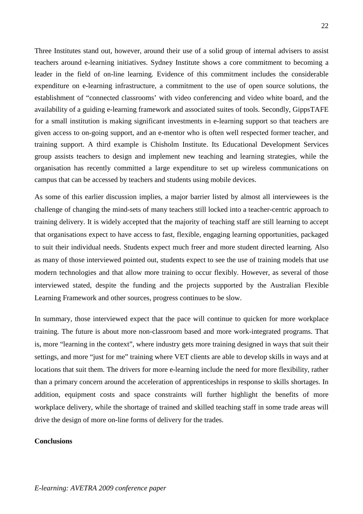Three Institutes stand out, however, around their use of a solid group of internal advisers to assist teachers around e-learning initiatives. Sydney Institute shows a core commitment to becoming a leader in the field of on-line learning. Evidence of this commitment includes the considerable expenditure on e-learning infrastructure, a commitment to the use of open source solutions, the establishment of "connected classrooms' with video conferencing and video white board, and the availability of a guiding e-learning framework and associated suites of tools. Secondly, GippsTAFE for a small institution is making significant investments in e-learning support so that teachers are given access to on-going support, and an e-mentor who is often well respected former teacher, and training support. A third example is Chisholm Institute. Its Educational Development Services group assists teachers to design and implement new teaching and learning strategies, while the organisation has recently committed a large expenditure to set up wireless communications on campus that can be accessed by teachers and students using mobile devices.

As some of this earlier discussion implies, a major barrier listed by almost all interviewees is the challenge of changing the mind-sets of many teachers still locked into a teacher-centric approach to training delivery. It is widely accepted that the majority of teaching staff are still learning to accept that organisations expect to have access to fast, flexible, engaging learning opportunities, packaged to suit their individual needs. Students expect much freer and more student directed learning. Also as many of those interviewed pointed out, students expect to see the use of training models that use modern technologies and that allow more training to occur flexibly. However, as several of those interviewed stated, despite the funding and the projects supported by the Australian Flexible Learning Framework and other sources, progress continues to be slow.

In summary, those interviewed expect that the pace will continue to quicken for more workplace training. The future is about more non-classroom based and more work-integrated programs. That is, more "learning in the context", where industry gets more training designed in ways that suit their settings, and more "just for me" training where VET clients are able to develop skills in ways and at locations that suit them. The drivers for more e-learning include the need for more flexibility, rather than a primary concern around the acceleration of apprenticeships in response to skills shortages. In addition, equipment costs and space constraints will further highlight the benefits of more workplace delivery, while the shortage of trained and skilled teaching staff in some trade areas will drive the design of more on-line forms of delivery for the trades.

# **Conclusions**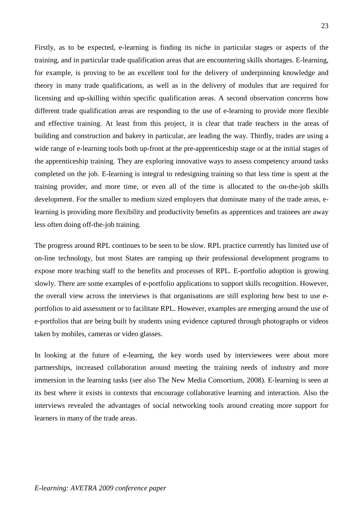Firstly, as to be expected, e-learning is finding its niche in particular stages or aspects of the training, and in particular trade qualification areas that are encountering skills shortages. E-learning, for example, is proving to be an excellent tool for the delivery of underpinning knowledge and theory in many trade qualifications, as well as in the delivery of modules that are required for licensing and up-skilling within specific qualification areas. A second observation concerns how different trade qualification areas are responding to the use of e-learning to provide more flexible and effective training. At least from this project, it is clear that trade teachers in the areas of building and construction and bakery in particular, are leading the way. Thirdly, trades are using a wide range of e-learning tools both up-front at the pre-apprenticeship stage or at the initial stages of the apprenticeship training. They are exploring innovative ways to assess competency around tasks completed on the job. E-learning is integral to redesigning training so that less time is spent at the training provider, and more time, or even all of the time is allocated to the on-the-job skills development. For the smaller to medium sized employers that dominate many of the trade areas, elearning is providing more flexibility and productivity benefits as apprentices and trainees are away less often doing off-the-job training.

The progress around RPL continues to be seen to be slow. RPL practice currently has limited use of on-line technology, but most States are ramping up their professional development programs to expose more teaching staff to the benefits and processes of RPL. E-portfolio adoption is growing slowly. There are some examples of e-portfolio applications to support skills recognition. However, the overall view across the interviews is that organisations are still exploring how best to use eportfolios to aid assessment or to facilitate RPL. However, examples are emerging around the use of e-portfolios that are being built by students using evidence captured through photographs or videos taken by mobiles, cameras or video glasses.

In looking at the future of e-learning, the key words used by interviewees were about more partnerships, increased collaboration around meeting the training needs of industry and more immersion in the learning tasks (see also The New Media Consortium, 2008). E-learning is seen at its best where it exists in contexts that encourage collaborative learning and interaction. Also the interviews revealed the advantages of social networking tools around creating more support for learners in many of the trade areas.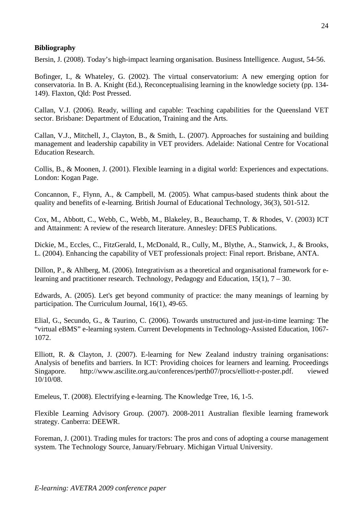# **Bibliography**

Bersin, J. (2008). Today's high-impact learning organisation. Business Intelligence. August, 54-56.

Bofinger, I., & Whateley, G. (2002). The virtual conservatorium: A new emerging option for conservatoria. In B. A. Knight (Ed.), Reconceptualising learning in the knowledge society (pp. 134- 149). Flaxton, Qld: Post Pressed.

Callan, V.J. (2006). Ready, willing and capable: Teaching capabilities for the Queensland VET sector. Brisbane: Department of Education, Training and the Arts.

Callan, V.J., Mitchell, J., Clayton, B., & Smith, L. (2007). Approaches for sustaining and building management and leadership capability in VET providers. Adelaide: National Centre for Vocational Education Research.

Collis, B., & Moonen, J. (2001). Flexible learning in a digital world: Experiences and expectations. London: Kogan Page.

Concannon, F., Flynn, A., & Campbell, M. (2005). What campus-based students think about the quality and benefits of e-learning. British Journal of Educational Technology, 36(3), 501-512.

Cox, M., Abbott, C., Webb, C., Webb, M., Blakeley, B., Beauchamp, T. & Rhodes, V. (2003) ICT and Attainment: A review of the research literature. Annesley: DFES Publications.

Dickie, M., Eccles, C., FitzGerald, I., McDonald, R., Cully, M., Blythe, A., Stanwick, J., & Brooks, L. (2004). Enhancing the capability of VET professionals project: Final report. Brisbane, ANTA.

Dillon, P., & Ahlberg, M. (2006). Integrativism as a theoretical and organisational framework for elearning and practitioner research. Technology, Pedagogy and Education, 15(1), 7 – 30.

Edwards, A. (2005). Let's get beyond community of practice: the many meanings of learning by participation. The Curriculum Journal, 16(1), 49-65.

Elial, G., Secundo, G., & Taurino, C. (2006). Towards unstructured and just-in-time learning: The "virtual eBMS" e-learning system. Current Developments in Technology-Assisted Education, 1067- 1072.

Elliott, R. & Clayton, J. (2007). E-learning for New Zealand industry training organisations: Analysis of benefits and barriers. In ICT: Providing choices for learners and learning. Proceedings Singapore. http://www.ascilite.org.au/conferences/perth07/procs/elliott-r-poster.pdf. viewed 10/10/08.

Emeleus, T. (2008). Electrifying e-learning. The Knowledge Tree, 16, 1-5.

Flexible Learning Advisory Group. (2007). 2008-2011 Australian flexible learning framework strategy. Canberra: DEEWR.

Foreman, J. (2001). Trading mules for tractors: The pros and cons of adopting a course management system. The Technology Source, January/February. Michigan Virtual University.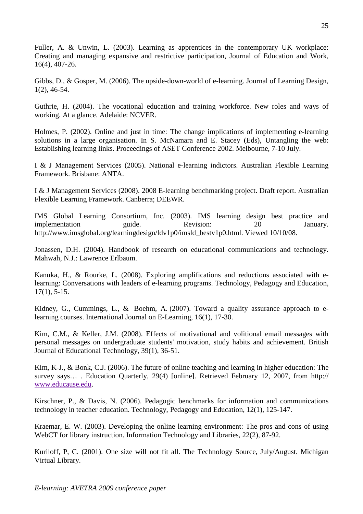Fuller, A. & Unwin, L. (2003). Learning as apprentices in the contemporary UK workplace: Creating and managing expansive and restrictive participation, Journal of Education and Work, 16(4), 407-26.

Gibbs, D., & Gosper, M. (2006). The upside-down-world of e-learning. Journal of Learning Design, 1(2), 46-54.

Guthrie, H. (2004). The vocational education and training workforce. New roles and ways of working. At a glance. Adelaide: NCVER.

Holmes, P. (2002). Online and just in time: The change implications of implementing e-learning solutions in a large organisation. In S. McNamara and E. Stacey (Eds), Untangling the web: Establishing learning links. Proceedings of ASET Conference 2002. Melbourne, 7-10 July.

I & J Management Services (2005). National e-learning indictors. Australian Flexible Learning Framework. Brisbane: ANTA.

I & J Management Services (2008). 2008 E-learning benchmarking project. Draft report. Australian Flexible Learning Framework. Canberra; DEEWR.

IMS Global Learning Consortium, Inc. (2003). IMS learning design best practice and implementation guide. Revision: 20 January. http://www.imsglobal.org/learningdesign/ldv1p0/imsld\_bestv1p0.html. Viewed 10/10/08.

Jonassen, D.H. (2004). Handbook of research on educational communications and technology. Mahwah, N.J.: Lawrence Erlbaum.

Kanuka, H., & Rourke, L. (2008). Exploring amplifications and reductions associated with elearning: Conversations with leaders of e-learning programs. Technology, Pedagogy and Education, 17(1), 5-15.

Kidney, G., Cummings, L., & Boehm, A. (2007). Toward a quality assurance approach to elearning courses. International Journal on E-Learning, 16(1), 17-30.

Kim, C.M., & Keller, J.M. (2008). Effects of motivational and volitional email messages with personal messages on undergraduate students' motivation, study habits and achievement. British Journal of Educational Technology, 39(1), 36-51.

Kim, K-J., & Bonk, C.J. (2006). The future of online teaching and learning in higher education: The survey says… . Education Quarterly, 29(4) [online]. Retrieved February 12, 2007, from http:// www.educause.edu.

Kirschner, P., & Davis, N. (2006). Pedagogic benchmarks for information and communications technology in teacher education. Technology, Pedagogy and Education, 12(1), 125-147.

Kraemar, E. W. (2003). Developing the online learning environment: The pros and cons of using WebCT for library instruction. Information Technology and Libraries, 22(2), 87-92.

Kuriloff, P, C. (2001). One size will not fit all. The Technology Source, July/August. Michigan Virtual Library.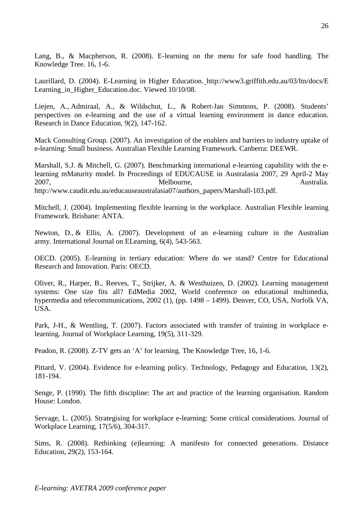Lang, B., & Macpherson, R. (2008). E-learning on the menu for safe food handling. The Knowledge Tree. 16, 1-6.

Laurillard, D. (2004). E-Learning in Higher Education. http://www3.griffith.edu.au/03/ltn/docs/E Learning\_in\_Higher\_Education.doc. Viewed 10/10/08.

Liejen, A., Admiraal, A., & Wildschut, L., & Robert-Jan Simmons, P. (2008). Students' perspectives on e-learning and the use of a virtual learning environment in dance education. Research in Dance Education, 9(2), 147-162.

Mack Consulting Group. (2007). An investigation of the enablers and barriers to industry uptake of e-learning: Small business. Australian Flexible Learning Framework. Canberra: DEEWR.

Marshall, S.J. & Mitchell, G. (2007). Benchmarking international e-learning capability with the elearning mMaturity model. In Proceedings of EDUCAUSE in Australasia 2007, 29 April-2 May 2007, Melbourne, Australia. http://www.caudit.edu.au/educauseaustralasia07/authors\_papers/Marshall-103.pdf.

Mitchell, J. (2004). Implementing flexible learning in the workplace. Australian Flexible learning Framework. Brisbane: ANTA.

Newton, D., & Ellis, A. (2007). Development of an e-learning culture in the Australian army. International Journal on ELearning, 6(4), 543-563.

OECD. (2005). E-learning in tertiary education: Where do we stand? Centre for Educational Research and Innovation. Paris: OECD.

Oliver, R., Harper, B., Reeves, T., Strijker, A. & Westhuizen, D. (2002). Learning management systems: One size fits all? EdMedia 2002, World conference on educational multimedia, hypermedia and telecommunications, 2002 (1), (pp. 1498 – 1499). Denver, CO, USA, Norfolk VA, USA.

Park, J-H., & Wentling, T. (2007). Factors associated with transfer of training in workplace elearning. Journal of Workplace Learning, 19(5), 311-329.

Peadon, R. (2008). Z-TV gets an 'A' for learning. The Knowledge Tree, 16, 1-6.

Pittard, V. (2004). Evidence for e-learning policy. Technology, Pedagogy and Education, 13(2), 181-194.

Senge, P. (1990). The fifth discipline: The art and practice of the learning organisation. Random House: London.

Servage, L. (2005). Strategising for workplace e-learning: Some critical considerations. Journal of Workplace Learning, 17(5/6), 304-317.

Sims, R. (2008). Rethinking (e)learning: A manifesto for connected generations. Distance Education, 29(2), 153-164.